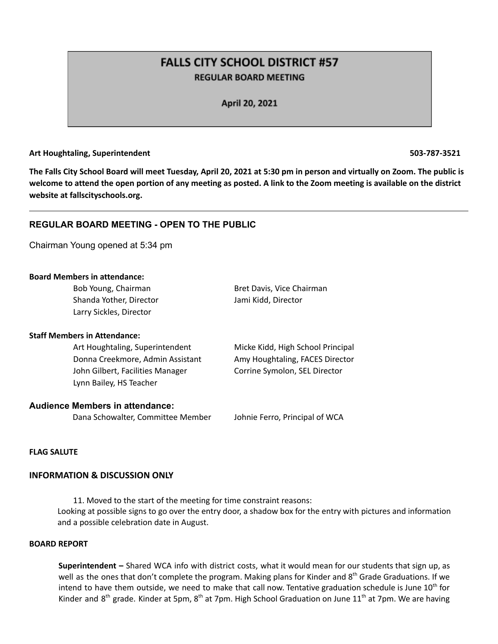# **FALLS CITY SCHOOL DISTRICT #57 REGULAR BOARD MEETING**

April 20, 2021

### **Art Houghtaling, Superintendent 503-787-3521**

The Falls City School Board will meet Tuesday, April 20, 2021 at 5:30 pm in person and virtually on Zoom. The public is welcome to attend the open portion of any meeting as posted. A link to the Zoom meeting is available on the district **website at fallscityschools.org.**

## **REGULAR BOARD MEETING - OPEN TO THE PUBLIC**

Chairman Young opened at 5:34 pm

### **Board Members in attendance:**

| Bob Young, Chairman                    | Bret Davis, Vice Chairman         |
|----------------------------------------|-----------------------------------|
| Shanda Yother, Director                | Jami Kidd, Director               |
| Larry Sickles, Director                |                                   |
| <b>Staff Members in Attendance:</b>    |                                   |
| Art Houghtaling, Superintendent        | Micke Kidd, High School Principal |
| Donna Creekmore, Admin Assistant       | Amy Houghtaling, FACES Director   |
| John Gilbert, Facilities Manager       | Corrine Symolon, SEL Director     |
| Lynn Bailey, HS Teacher                |                                   |
| <b>Audience Members in attendance:</b> |                                   |
|                                        |                                   |

Dana Schowalter, Committee Member Johnie Ferro, Principal of WCA

### **FLAG SALUTE**

### **INFORMATION & DISCUSSION ONLY**

11. Moved to the start of the meeting for time constraint reasons: Looking at possible signs to go over the entry door, a shadow box for the entry with pictures and information and a possible celebration date in August.

### **BOARD REPORT**

**Superintendent –** Shared WCA info with district costs, what it would mean for our students that sign up, as well as the ones that don't complete the program. Making plans for Kinder and 8<sup>th</sup> Grade Graduations. If we intend to have them outside, we need to make that call now. Tentative graduation schedule is June 10<sup>th</sup> for Kinder and 8<sup>th</sup> grade. Kinder at 5pm, 8<sup>th</sup> at 7pm. High School Graduation on June 11<sup>th</sup> at 7pm. We are having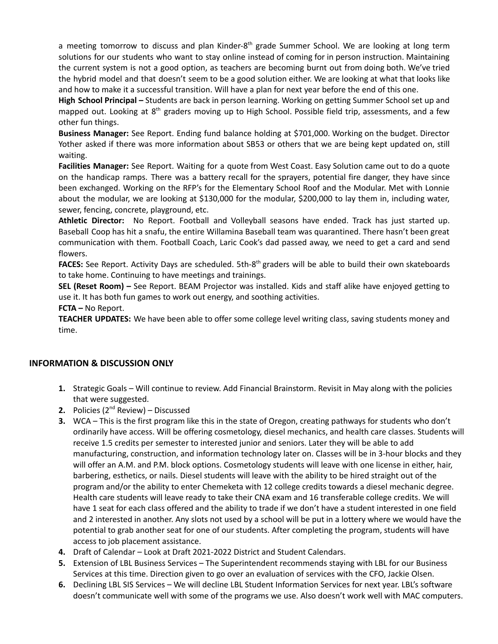a meeting tomorrow to discuss and plan Kinder-8<sup>th</sup> grade Summer School. We are looking at long term solutions for our students who want to stay online instead of coming for in person instruction. Maintaining the current system is not a good option, as teachers are becoming burnt out from doing both. We've tried the hybrid model and that doesn't seem to be a good solution either. We are looking at what that looks like and how to make it a successful transition. Will have a plan for next year before the end of this one.

**High School Principal –** Students are back in person learning. Working on getting Summer School set up and mapped out. Looking at 8<sup>th</sup> graders moving up to High School. Possible field trip, assessments, and a few other fun things.

**Business Manager:** See Report. Ending fund balance holding at \$701,000. Working on the budget. Director Yother asked if there was more information about SB53 or others that we are being kept updated on, still waiting.

**Facilities Manager:** See Report. Waiting for a quote from West Coast. Easy Solution came out to do a quote on the handicap ramps. There was a battery recall for the sprayers, potential fire danger, they have since been exchanged. Working on the RFP's for the Elementary School Roof and the Modular. Met with Lonnie about the modular, we are looking at \$130,000 for the modular, \$200,000 to lay them in, including water, sewer, fencing, concrete, playground, etc.

**Athletic Director:** No Report. Football and Volleyball seasons have ended. Track has just started up. Baseball Coop has hit a snafu, the entire Willamina Baseball team was quarantined. There hasn't been great communication with them. Football Coach, Laric Cook's dad passed away, we need to get a card and send flowers.

FACES: See Report. Activity Days are scheduled. 5th-8<sup>th</sup> graders will be able to build their own skateboards to take home. Continuing to have meetings and trainings.

**SEL (Reset Room) –** See Report. BEAM Projector was installed. Kids and staff alike have enjoyed getting to use it. It has both fun games to work out energy, and soothing activities.

**FCTA –** No Report.

**TEACHER UPDATES:** We have been able to offer some college level writing class, saving students money and time.

# **INFORMATION & DISCUSSION ONLY**

- **1.** Strategic Goals Will continue to review. Add Financial Brainstorm. Revisit in May along with the policies that were suggested.
- **2.** Policies (2<sup>nd</sup> Review) Discussed
- **3.** WCA This is the first program like this in the state of Oregon, creating pathways for students who don't ordinarily have access. Will be offering cosmetology, diesel mechanics, and health care classes. Students will receive 1.5 credits per semester to interested junior and seniors. Later they will be able to add manufacturing, construction, and information technology later on. Classes will be in 3-hour blocks and they will offer an A.M. and P.M. block options. Cosmetology students will leave with one license in either, hair, barbering, esthetics, or nails. Diesel students will leave with the ability to be hired straight out of the program and/or the ability to enter Chemeketa with 12 college credits towards a diesel mechanic degree. Health care students will leave ready to take their CNA exam and 16 transferable college credits. We will have 1 seat for each class offered and the ability to trade if we don't have a student interested in one field and 2 interested in another. Any slots not used by a school will be put in a lottery where we would have the potential to grab another seat for one of our students. After completing the program, students will have access to job placement assistance.
- **4.** Draft of Calendar Look at Draft 2021-2022 District and Student Calendars.
- **5.** Extension of LBL Business Services The Superintendent recommends staying with LBL for our Business Services at this time. Direction given to go over an evaluation of services with the CFO, Jackie Olsen.
- **6.** Declining LBL SIS Services We will decline LBL Student Information Services for next year. LBL's software doesn't communicate well with some of the programs we use. Also doesn't work well with MAC computers.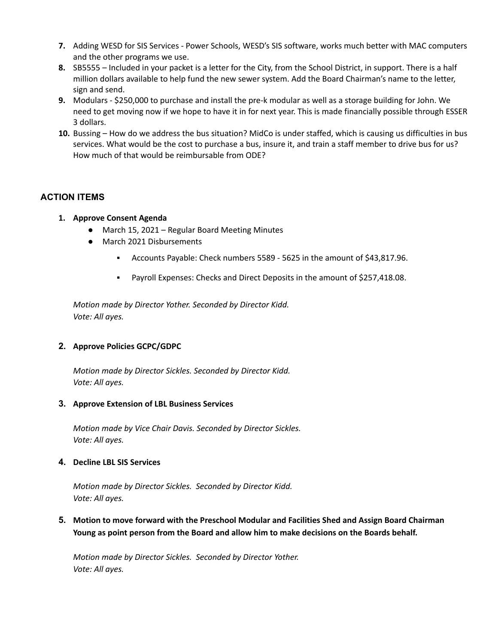- **7.** Adding WESD for SIS Services Power Schools, WESD's SIS software, works much better with MAC computers and the other programs we use.
- **8.** SB5555 Included in your packet is a letter for the City, from the School District, in support. There is a half million dollars available to help fund the new sewer system. Add the Board Chairman's name to the letter, sign and send.
- **9.** Modulars \$250,000 to purchase and install the pre-k modular as well as a storage building for John. We need to get moving now if we hope to have it in for next year. This is made financially possible through ESSER 3 dollars.
- **10.** Bussing How do we address the bus situation? MidCo is under staffed, which is causing us difficulties in bus services. What would be the cost to purchase a bus, insure it, and train a staff member to drive bus for us? How much of that would be reimbursable from ODE?

# **ACTION ITEMS**

- **1. Approve Consent Agenda**
	- March 15, 2021 Regular Board Meeting Minutes
	- March 2021 Disbursements
		- Accounts Payable: Check numbers 5589 5625 in the amount of \$43,817.96.
		- Payroll Expenses: Checks and Direct Deposits in the amount of \$257,418.08.

*Motion made by Director Yother. Seconded by Director Kidd. Vote: All ayes.*

# **2. Approve Policies GCPC/GDPC**

*Motion made by Director Sickles. Seconded by Director Kidd. Vote: All ayes.*

### **3. Approve Extension of LBL Business Services**

*Motion made by Vice Chair Davis. Seconded by Director Sickles. Vote: All ayes.*

### **4. Decline LBL SIS Services**

*Motion made by Director Sickles. Seconded by Director Kidd. Vote: All ayes.*

**5. Motion to move forward with the Preschool Modular and Facilities Shed and Assign Board Chairman Young as point person from the Board and allow him to make decisions on the Boards behalf.**

*Motion made by Director Sickles. Seconded by Director Yother. Vote: All ayes.*